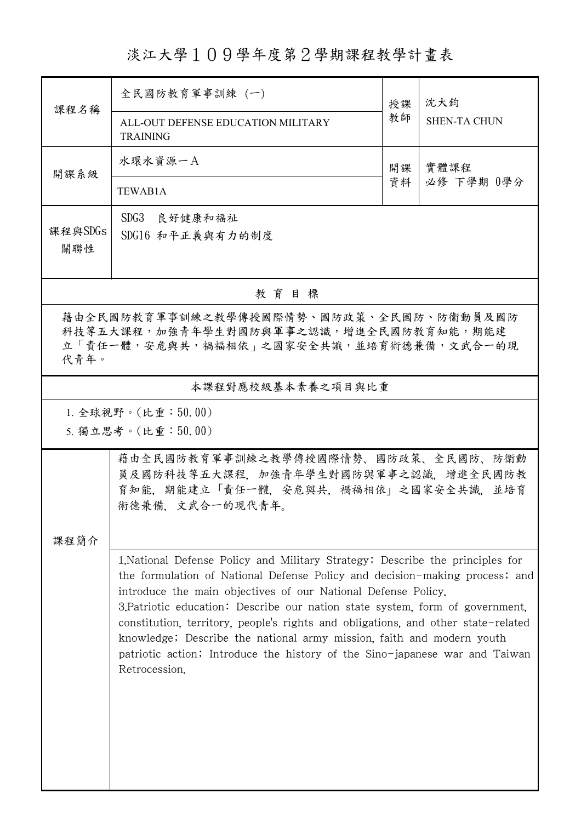淡江大學109學年度第2學期課程教學計畫表

| 課程名稱                                                                                                                                     | 全民國防教育軍事訓練 (一)                                                                                                                                                                                                                                                                                                                                                                                                                                                                                                                                                               |    | 沈大鈞                 |  |  |  |  |  |
|------------------------------------------------------------------------------------------------------------------------------------------|------------------------------------------------------------------------------------------------------------------------------------------------------------------------------------------------------------------------------------------------------------------------------------------------------------------------------------------------------------------------------------------------------------------------------------------------------------------------------------------------------------------------------------------------------------------------------|----|---------------------|--|--|--|--|--|
|                                                                                                                                          | ALL-OUT DEFENSE EDUCATION MILITARY<br><b>TRAINING</b>                                                                                                                                                                                                                                                                                                                                                                                                                                                                                                                        | 教師 | <b>SHEN-TA CHUN</b> |  |  |  |  |  |
| 開課系級                                                                                                                                     | 水環水資源一A                                                                                                                                                                                                                                                                                                                                                                                                                                                                                                                                                                      | 開課 | 實體課程<br>必修 下學期 0學分  |  |  |  |  |  |
|                                                                                                                                          | TEWAB1A                                                                                                                                                                                                                                                                                                                                                                                                                                                                                                                                                                      | 資料 |                     |  |  |  |  |  |
| 課程與SDGs<br>關聯性                                                                                                                           | SDG3 良好健康和福祉<br>SDG16 和平正義與有力的制度                                                                                                                                                                                                                                                                                                                                                                                                                                                                                                                                             |    |                     |  |  |  |  |  |
| 教育目標                                                                                                                                     |                                                                                                                                                                                                                                                                                                                                                                                                                                                                                                                                                                              |    |                     |  |  |  |  |  |
| 藉由全民國防教育軍事訓練之教學傳授國際情勢、國防政策、全民國防、防衛動員及國防<br>科技等五大課程,加強青年學生對國防與軍事之認識,增進全民國防教育知能,期能建<br>立「責任一體,安危與共,禍福相依 , 之國家安全共識, 並培育術德兼備, 文武合一的現<br>代青年。 |                                                                                                                                                                                                                                                                                                                                                                                                                                                                                                                                                                              |    |                     |  |  |  |  |  |
| 本課程對應校級基本素養之項目與比重                                                                                                                        |                                                                                                                                                                                                                                                                                                                                                                                                                                                                                                                                                                              |    |                     |  |  |  |  |  |
| 1. 全球視野。(比重:50.00)<br>5. 獨立思考。(比重:50.00)                                                                                                 |                                                                                                                                                                                                                                                                                                                                                                                                                                                                                                                                                                              |    |                     |  |  |  |  |  |
|                                                                                                                                          | 藉由全民國防教育軍事訓練之教學傳授國際情勢、國防政策、全民國防、防衛動<br>員及國防科技等五大課程,加強青年學生對國防與軍事之認識,增進全民國防教<br>育知能,期能建立「責任一體,安危與共,禍福相依」之國家安全共識,並培育<br>術德兼備. 文武合一的現代青年。                                                                                                                                                                                                                                                                                                                                                                                                                                        |    |                     |  |  |  |  |  |
| 課程簡介                                                                                                                                     | 1. National Defense Policy and Military Strategy: Describe the principles for<br>the formulation of National Defense Policy and decision-making process; and<br>introduce the main objectives of our National Defense Policy.<br>3. Patriotic education: Describe our nation state system, form of government,<br>constitution, territory, people's rights and obligations, and other state-related<br>knowledge; Describe the national army mission, faith and modern youth<br>patriotic action; Introduce the history of the Sino-japanese war and Taiwan<br>Retrocession. |    |                     |  |  |  |  |  |

ı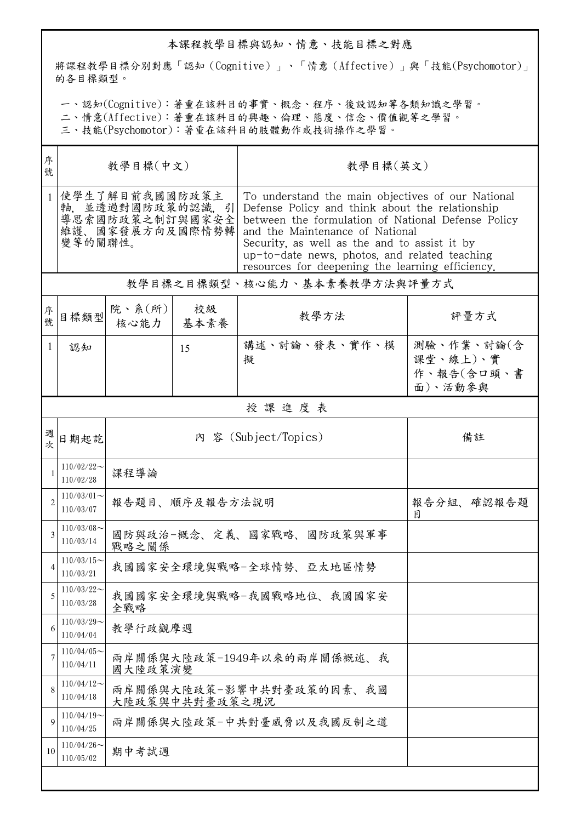## 本課程教學目標與認知、情意、技能目標之對應

將課程教學目標分別對應「認知(Cognitive)」、「情意(Affective)」與「技能(Psychomotor)」 的各目標類型。

一、認知(Cognitive):著重在該科目的事實、概念、程序、後設認知等各類知識之學習。

二、情意(Affective):著重在該科目的興趣、倫理、態度、信念、價值觀等之學習。

三、技能(Psychomotor):著重在該科目的肢體動作或技術操作之學習。

| 序<br>號         | 教學目標(中文)                                                                             |                          |                                            | 教學目標(英文)                                                                                                                                                                                                                                                                                                                                           |                                                 |  |  |  |
|----------------|--------------------------------------------------------------------------------------|--------------------------|--------------------------------------------|----------------------------------------------------------------------------------------------------------------------------------------------------------------------------------------------------------------------------------------------------------------------------------------------------------------------------------------------------|-------------------------------------------------|--|--|--|
| $\mathbf{1}$   | 使學生了解目前我國國防政策主<br>軸, 並透過對國防政策的認識, 引<br>導思索國防政策之制訂與國家安全<br>維護、國家發展方向及國際情勢轉<br>變等的關聯性。 |                          |                                            | To understand the main objectives of our National<br>Defense Policy and think about the relationship<br>between the formulation of National Defense Policy<br>and the Maintenance of National<br>Security, as well as the and to assist it by<br>up-to-date news, photos, and related teaching<br>resources for deepening the learning efficiency. |                                                 |  |  |  |
|                | 教學目標之目標類型、核心能力、基本素養教學方法與評量方式                                                         |                          |                                            |                                                                                                                                                                                                                                                                                                                                                    |                                                 |  |  |  |
| 序<br>號.        | 目標類型                                                                                 | 院、系 $(\kappa)$  <br>核心能力 | 校級<br>  基本素養                               | 教學方法                                                                                                                                                                                                                                                                                                                                               | 評量方式                                            |  |  |  |
| $\mathbf{1}$   | 認知                                                                                   |                          | 15                                         | 講述、討論、發表、實作、模<br>擬                                                                                                                                                                                                                                                                                                                                 | 測驗、作業、討論(含<br>課堂、線上)、實<br>作、報告(含口頭、書<br>面)、活動參與 |  |  |  |
|                | 授課進度表                                                                                |                          |                                            |                                                                                                                                                                                                                                                                                                                                                    |                                                 |  |  |  |
| 週<br>女         | 日期起訖                                                                                 | 內 容 (Subject/Topics)     |                                            |                                                                                                                                                                                                                                                                                                                                                    | 備註                                              |  |  |  |
| 1              | $110/02/22$ ~<br>110/02/28                                                           | 課程導論                     |                                            |                                                                                                                                                                                                                                                                                                                                                    |                                                 |  |  |  |
| $\overline{2}$ | $110/03/01$ ~<br>110/03/07                                                           |                          | 報告題目、順序及報告方法說明                             | 報告分組、確認報告題<br>目                                                                                                                                                                                                                                                                                                                                    |                                                 |  |  |  |
| 3              | $110/03/08$ ~<br>110/03/14                                                           | 戰略之關係                    | 國防與政治-概念、定義、國家戰略、國防政策與軍事                   |                                                                                                                                                                                                                                                                                                                                                    |                                                 |  |  |  |
|                | $110/03/15$ ~<br>110/03/21                                                           |                          | 我國國家安全環境與戰略-全球情勢、亞太地區情勢                    |                                                                                                                                                                                                                                                                                                                                                    |                                                 |  |  |  |
| 5              | $110/03/22$ ~<br>110/03/28                                                           | 全戰略                      | 我國國家安全環境與戰略-我國戰略地位、我國國家安                   |                                                                                                                                                                                                                                                                                                                                                    |                                                 |  |  |  |
| 6              | $110/03/29$ ~<br>110/04/04                                                           | 教學行政觀摩週                  |                                            |                                                                                                                                                                                                                                                                                                                                                    |                                                 |  |  |  |
| 7              | $110/04/05$ ~<br>110/04/11                                                           | 國大陸政策演變                  | 兩岸關係與大陸政策-1949年以來的兩岸關係概述、我                 |                                                                                                                                                                                                                                                                                                                                                    |                                                 |  |  |  |
| 8              | $110/04/12$ ~<br>110/04/18                                                           |                          | 兩岸關係與大陸政策-影響中共對臺政策的因素、我國<br>大陸政策與中共對臺政策之現況 |                                                                                                                                                                                                                                                                                                                                                    |                                                 |  |  |  |
| 9              | $110/04/19$ ~<br>110/04/25                                                           | 兩岸關係與大陸政策-中共對臺威脅以及我國反制之道 |                                            |                                                                                                                                                                                                                                                                                                                                                    |                                                 |  |  |  |
| 10             | $110/04/26$ ~<br>110/05/02                                                           | 期中考試週                    |                                            |                                                                                                                                                                                                                                                                                                                                                    |                                                 |  |  |  |
|                |                                                                                      |                          |                                            |                                                                                                                                                                                                                                                                                                                                                    |                                                 |  |  |  |